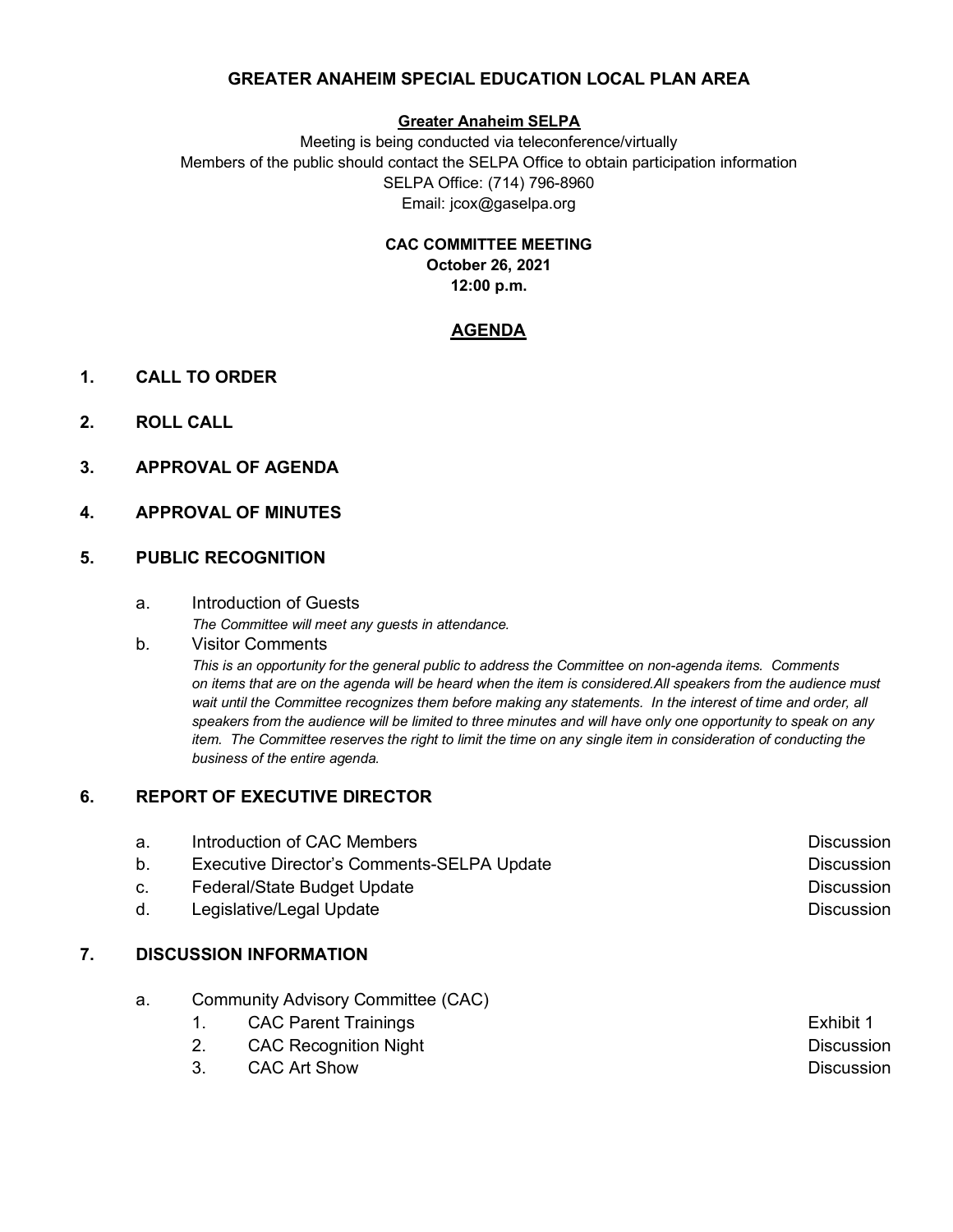## **GREATER ANAHEIM SPECIAL EDUCATION LOCAL PLAN AREA**

#### **Greater Anaheim SELPA**

Meeting is being conducted via teleconference/virtually Members of the public should contact the SELPA Office to obtain participation information SELPA Office: (714) 796-8960 Email: jcox@gaselpa.org

> **CAC COMMITTEE MEETING October 26, 2021 12:00 p.m.**

### **AGENDA**

- **1. CALL TO ORDER**
- **2. ROLL CALL**
- **3. APPROVAL OF AGENDA**
- **4. APPROVAL OF MINUTES**

### **5. PUBLIC RECOGNITION**

a. Introduction of Guests

*The Committee will meet any guests in attendance.*

b*.* Visitor Comments

*This is an opportunity for the general public to address the Committee on non-agenda items. Comments on items that are on the agenda will be heard when the item is considered.All speakers from the audience must wait until the Committee recognizes them before making any statements. In the interest of time and order, all speakers from the audience will be limited to three minutes and will have only one opportunity to speak on any item. The Committee reserves the right to limit the time on any single item in consideration of conducting the business of the entire agenda.*

### **6. REPORT OF EXECUTIVE DIRECTOR**

| а. | Introduction of CAC Members                | <b>Discussion</b> |
|----|--------------------------------------------|-------------------|
| b. | Executive Director's Comments-SELPA Update | <b>Discussion</b> |
| C. | Federal/State Budget Update                | <b>Discussion</b> |
| d. | Legislative/Legal Update                   | <b>Discussion</b> |
|    |                                            |                   |

# **7. DISCUSSION INFORMATION**

- a. Community Advisory Committee (CAC)
	- 1. CAC Parent Trainings **Exhibit 1** Exhibit 1
		- 2. CAC Recognition Night Discussion **Discussion**
		- 3. CAC Art Show Discussion